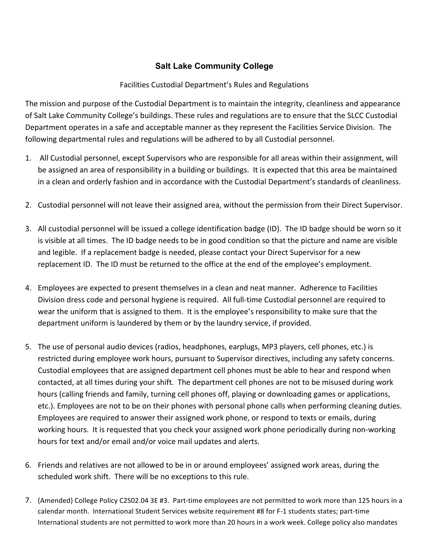## **Salt Lake Community College**

## Facilities Custodial Department's Rules and Regulations

The mission and purpose of the Custodial Department is to maintain the integrity, cleanliness and appearance of Salt Lake Community College's buildings. These rules and regulations are to ensure that the SLCC Custodial Department operates in a safe and acceptable manner as they represent the Facilities Service Division. The following departmental rules and regulations will be adhered to by all Custodial personnel.

- 1. All Custodial personnel, except Supervisors who are responsible for all areas within their assignment, will be assigned an area of responsibility in a building or buildings. It is expected that this area be maintained in a clean and orderly fashion and in accordance with the Custodial Department's standards of cleanliness.
- 2. Custodial personnel will not leave their assigned area, without the permission from their Direct Supervisor.
- 3. All custodial personnel will be issued a college identification badge (ID). The ID badge should be worn so it is visible at all times. The ID badge needs to be in good condition so that the picture and name are visible and legible. If a replacement badge is needed, please contact your Direct Supervisor for a new replacement ID. The ID must be returned to the office at the end of the employee's employment.
- 4. Employees are expected to present themselves in a clean and neat manner. Adherence to Facilities Division dress code and personal hygiene is required. All full-time Custodial personnel are required to wear the uniform that is assigned to them. It is the employee's responsibility to make sure that the department uniform is laundered by them or by the laundry service, if provided.
- 5. The use of personal audio devices (radios, headphones, earplugs, MP3 players, cell phones, etc.) is restricted during employee work hours, pursuant to Supervisor directives, including any safety concerns. Custodial employees that are assigned department cell phones must be able to hear and respond when contacted, at all times during your shift. The department cell phones are not to be misused during work hours (calling friends and family, turning cell phones off, playing or downloading games or applications, etc.). Employees are not to be on their phones with personal phone calls when performing cleaning duties. Employees are required to answer their assigned work phone, or respond to texts or emails, during working hours. It is requested that you check your assigned work phone periodically during non-working hours for text and/or email and/or voice mail updates and alerts.
- 6. Friends and relatives are not allowed to be in or around employees' assigned work areas, during the scheduled work shift. There will be no exceptions to this rule.
- 7. (Amended) College Policy C2S02.04 3E #3. Part-time employees are not permitted to work more than 125 hours in a calendar month. International Student Services website requirement #8 for F-1 students states; part-time International students are not permitted to work more than 20 hours in a work week. College policy also mandates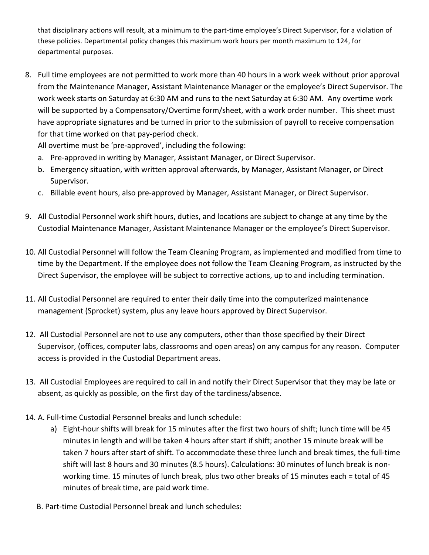that disciplinary actions will result, at a minimum to the part-time employee's Direct Supervisor, for a violation of these policies. Departmental policy changes this maximum work hours per month maximum to 124, for departmental purposes.

8. Full time employees are not permitted to work more than 40 hours in a work week without prior approval from the Maintenance Manager, Assistant Maintenance Manager or the employee's Direct Supervisor. The work week starts on Saturday at 6:30 AM and runs to the next Saturday at 6:30 AM. Any overtime work will be supported by a Compensatory/Overtime form/sheet, with a work order number. This sheet must have appropriate signatures and be turned in prior to the submission of payroll to receive compensation for that time worked on that pay-period check.

All overtime must be 'pre-approved', including the following:

- a. Pre-approved in writing by Manager, Assistant Manager, or Direct Supervisor.
- b. Emergency situation, with written approval afterwards, by Manager, Assistant Manager, or Direct Supervisor.
- c. Billable event hours, also pre-approved by Manager, Assistant Manager, or Direct Supervisor.
- 9. All Custodial Personnel work shift hours, duties, and locations are subject to change at any time by the Custodial Maintenance Manager, Assistant Maintenance Manager or the employee's Direct Supervisor.
- 10. All Custodial Personnel will follow the Team Cleaning Program, as implemented and modified from time to time by the Department. If the employee does not follow the Team Cleaning Program, as instructed by the Direct Supervisor, the employee will be subject to corrective actions, up to and including termination.
- 11. All Custodial Personnel are required to enter their daily time into the computerized maintenance management (Sprocket) system, plus any leave hours approved by Direct Supervisor.
- 12. All Custodial Personnel are not to use any computers, other than those specified by their Direct Supervisor, (offices, computer labs, classrooms and open areas) on any campus for any reason. Computer access is provided in the Custodial Department areas.
- 13. All Custodial Employees are required to call in and notify their Direct Supervisor that they may be late or absent, as quickly as possible, on the first day of the tardiness/absence.
- 14. A. Full-time Custodial Personnel breaks and lunch schedule:
	- a) Eight-hour shifts will break for 15 minutes after the first two hours of shift; lunch time will be 45 minutes in length and will be taken 4 hours after start if shift; another 15 minute break will be taken 7 hours after start of shift. To accommodate these three lunch and break times, the full-time shift will last 8 hours and 30 minutes (8.5 hours). Calculations: 30 minutes of lunch break is nonworking time. 15 minutes of lunch break, plus two other breaks of 15 minutes each = total of 45 minutes of break time, are paid work time.
	- B. Part-time Custodial Personnel break and lunch schedules: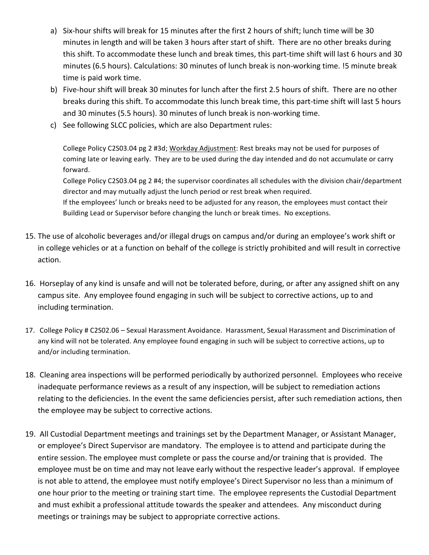- a) Six-hour shifts will break for 15 minutes after the first 2 hours of shift; lunch time will be 30 minutes in length and will be taken 3 hours after start of shift. There are no other breaks during this shift. To accommodate these lunch and break times, this part-time shift will last 6 hours and 30 minutes (6.5 hours). Calculations: 30 minutes of lunch break is non-working time. !5 minute break time is paid work time.
- b) Five-hour shift will break 30 minutes for lunch after the first 2.5 hours of shift. There are no other breaks during this shift. To accommodate this lunch break time, this part-time shift will last 5 hours and 30 minutes (5.5 hours). 30 minutes of lunch break is non-working time.
- c) See following SLCC policies, which are also Department rules:

College Policy C2S03.04 pg 2 #3d; Workday Adjustment: Rest breaks may not be used for purposes of coming late or leaving early. They are to be used during the day intended and do not accumulate or carry forward. 

College Policy C2S03.04 pg 2 #4; the supervisor coordinates all schedules with the division chair/department director and may mutually adjust the lunch period or rest break when required.

If the employees' lunch or breaks need to be adjusted for any reason, the employees must contact their Building Lead or Supervisor before changing the lunch or break times. No exceptions.

- 15. The use of alcoholic beverages and/or illegal drugs on campus and/or during an employee's work shift or in college vehicles or at a function on behalf of the college is strictly prohibited and will result in corrective action.
- 16. Horseplay of any kind is unsafe and will not be tolerated before, during, or after any assigned shift on any campus site. Any employee found engaging in such will be subject to corrective actions, up to and including termination.
- 17. College Policy # C2S02.06 Sexual Harassment Avoidance. Harassment, Sexual Harassment and Discrimination of any kind will not be tolerated. Any employee found engaging in such will be subject to corrective actions, up to and/or including termination.
- 18. Cleaning area inspections will be performed periodically by authorized personnel. Employees who receive inadequate performance reviews as a result of any inspection, will be subject to remediation actions relating to the deficiencies. In the event the same deficiencies persist, after such remediation actions, then the employee may be subject to corrective actions.
- 19. All Custodial Department meetings and trainings set by the Department Manager, or Assistant Manager, or employee's Direct Supervisor are mandatory. The employee is to attend and participate during the entire session. The employee must complete or pass the course and/or training that is provided. The employee must be on time and may not leave early without the respective leader's approval. If employee is not able to attend, the employee must notify employee's Direct Supervisor no less than a minimum of one hour prior to the meeting or training start time. The employee represents the Custodial Department and must exhibit a professional attitude towards the speaker and attendees. Any misconduct during meetings or trainings may be subject to appropriate corrective actions.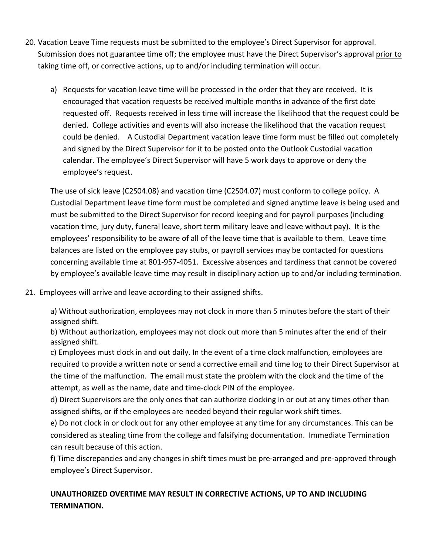- 20. Vacation Leave Time requests must be submitted to the employee's Direct Supervisor for approval. Submission does not guarantee time off; the employee must have the Direct Supervisor's approval prior to taking time off, or corrective actions, up to and/or including termination will occur.
	- a) Requests for vacation leave time will be processed in the order that they are received. It is encouraged that vacation requests be received multiple months in advance of the first date requested off. Requests received in less time will increase the likelihood that the request could be denied. College activities and events will also increase the likelihood that the vacation request could be denied. A Custodial Department vacation leave time form must be filled out completely and signed by the Direct Supervisor for it to be posted onto the Outlook Custodial vacation calendar. The employee's Direct Supervisor will have 5 work days to approve or deny the employee's request.

The use of sick leave (C2S04.08) and vacation time (C2S04.07) must conform to college policy. A Custodial Department leave time form must be completed and signed anytime leave is being used and must be submitted to the Direct Supervisor for record keeping and for payroll purposes (including vacation time, jury duty, funeral leave, short term military leave and leave without pay). It is the employees' responsibility to be aware of all of the leave time that is available to them. Leave time balances are listed on the employee pay stubs, or payroll services may be contacted for questions concerning available time at 801-957-4051. Excessive absences and tardiness that cannot be covered by employee's available leave time may result in disciplinary action up to and/or including termination.

21. Employees will arrive and leave according to their assigned shifts.

a) Without authorization, employees may not clock in more than 5 minutes before the start of their assigned shift.

b) Without authorization, employees may not clock out more than 5 minutes after the end of their assigned shift.

c) Employees must clock in and out daily. In the event of a time clock malfunction, employees are required to provide a written note or send a corrective email and time log to their Direct Supervisor at the time of the malfunction. The email must state the problem with the clock and the time of the attempt, as well as the name, date and time-clock PIN of the employee.

d) Direct Supervisors are the only ones that can authorize clocking in or out at any times other than assigned shifts, or if the employees are needed beyond their regular work shift times.

e) Do not clock in or clock out for any other employee at any time for any circumstances. This can be considered as stealing time from the college and falsifying documentation. Immediate Termination can result because of this action.

f) Time discrepancies and any changes in shift times must be pre-arranged and pre-approved through employee's Direct Supervisor.

## UNAUTHORIZED OVERTIME MAY RESULT IN CORRECTIVE ACTIONS, UP TO AND INCLUDING **TERMINATION.**